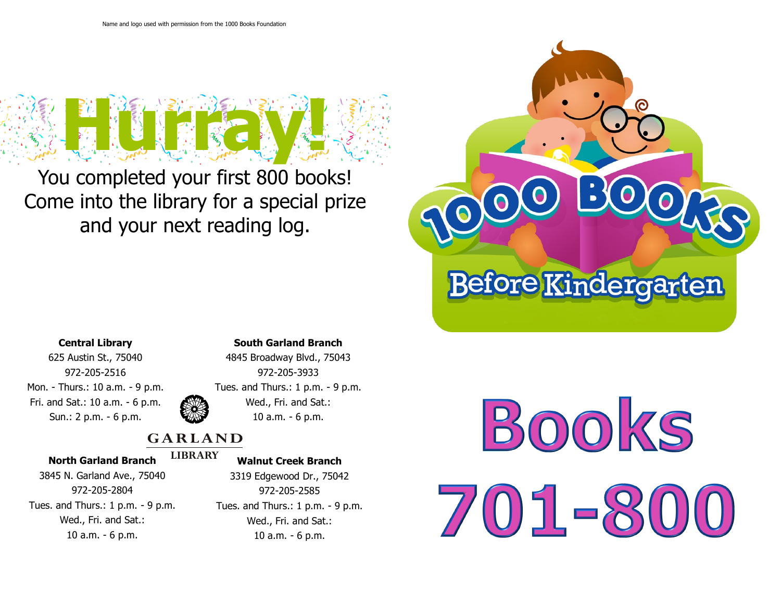

You completed your first 800 books! Come into the library for a special prize and your next reading log.



## **Central Library**

625 Austin St., 75040 972-205-2516 Mon. - Thurs.: 10 a.m. - 9 p.m. Fri. and Sat.: 10 a.m. - 6 p.m. Sun.: 2 p.m. - 6 p.m.

### **South Garland Branch**



# 4845 Broadway Blvd., 75043 972-205-3933 Tues. and Thurs.: 1 p.m. - 9 p.m. Wed., Fri. and Sat.: 10 a.m. - 6 p.m.

# **GARLAND**

### **North Garland Branch**

#### **LIBRARY Walnut Creek Branch**

3845 N. Garland Ave., 75040 972-205-2804 Tues. and Thurs.: 1 p.m. - 9 p.m. Wed., Fri. and Sat.: 10 a.m. - 6 p.m.

3319 Edgewood Dr., 75042 972-205-2585 Tues. and Thurs.: 1 p.m. - 9 p.m. Wed., Fri. and Sat.: 10 a.m. - 6 p.m.

BOOKS  $5 = 5$